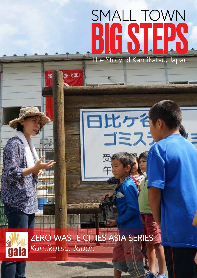# The Story of Kamikatsu, Japan SMALL TOWN BIG STEPS

日比ケ名

ゴミス

ZERO WASTE CITIES ASIA SERIES *Kamikatsu, Japan* 

 $38.4001$ 

902

gaia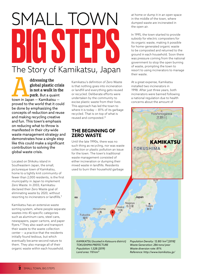# The Story of Kamikatsu, Japan SMALL TOW BIG Story of Kamikatery Japan

ddressing the<br>
global plastic cris<br>
is not a walk in the<br>
park. But a quaint<br>
town in Japan — Kamikatsu **global plastic crisis is not a walk in the park.** But a quaint proved to the world that it could be done by emphasizing the concepts of reduction and reuse and making recycling creative and fun. This town's emphasis on reducing what to throw is manifested in their city-wide waste management strategy and demonstrates how a single step like this could make a significant contribution to solving the global waste crisis.

Located on Shikoku island in Southeastern Japan, the small, picturesque town of Kamikatsu, home to a tightly knit community of fewer than 2,000 residents, is the first municipality in Japan to implement Zero Waste. In 2003, Kamikatsu declared their Zero Waste goal of eliminating waste by 2020, without resorting to incinerators or landfills.1

Kamikatsu has an extensive waste sorting system, where people separate wastes into 45 specific categories such as aluminum cans, steel cans, newspapers, paper cartons, and paper flyers.2 They also wash and transport their waste to the waste collection center — a practice that the residents initially found tedious, but which eventually became second nature to them. They also manage all of their organic waste within each household.

Kamikatsu's definition of Zero Waste is that nothing goes into incineration or landfill and everything gets reused or recycled. Deliberate efforts were undertaken by the community to excise plastic waste from their lives. This approach has led the town to where it is today  $-81%$  of its garbage recycled. That is on top of what is reused and composted.<sup>3</sup>

#### **THE BEGINNING OF ZERO WASTE**

ea

Until the late 1990s, there was no such thing as recycling, nor was waste collection or plastic pollution an issue for the town. The town's traditional waste management consisted of either incineration or dumping their mixed waste in landfills. Residents used to burn their household garbage

at home or dump it in an open space in the middle of the town, where dumped waste are incinerated in the open air.

In 1995, the town started to provide subsidy for electric composters for its organic waste, making it possible for home-generated organic waste to be composted and returned to the ground in each household. Soon there was pressure coming from the national government to stop the open burning of waste, prompting the town to resort to using incinerators to manage their waste.

At a great expense, Kamikatsu installed two incinerators in 1998. After just three years, both incinerators were banned following a national regulation due to health concerns about the amount of

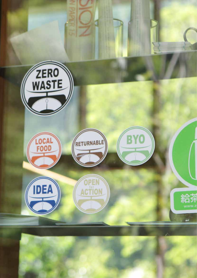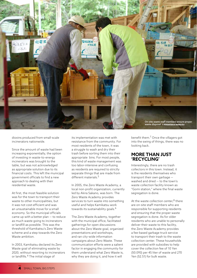

dioxins produced from small-scale incinerators nationwide.

Since the amount of waste had been increasing exponentially, the option of investing in waste-to-energy incinerators was brought to the table, but was not acknowledged as appropriate solution due to its financial costs. This left the municipal government officials to find a new approach to dealing with their residential waste.

At first, the most feasible solution was for the town to transport their waste to other municipalities, but it was not cost-efficient and was an unsustainable move for a small economy. So the municipal officials came up with a better plan — to reduce as much waste going to incinerators or landfill as possible. This was the threshold of Kamikatsu's Zero Waste scheme and a step towards the Zero Waste ambition.

In 2003, Kamikatsu declared its Zero Waste goal of eliminating waste by 2020, without resorting to incinerators or landfills.4 The initial stage of

its implementation was met with resistance from the community. For most residents of the town, it was a struggle to wash and dry their trash before sorting them into their appropriate bins. For most people, this kind of waste management was too labor-intensive and confusing as residents are required to strictly separate things that are made from different materials.<sup>5</sup>

In 2005, the Zero Waste Academy, a local non-profit organization, currently led by Akira Sakano, was born. The Zero Waste Academy provides services to turn waste into something useful and helps Kamikatsu work towards its sustainability goals.<sup>6</sup>

The Zero Waste Academy, together with the municipal office, facilitated gatherings for open discussions about the Zero Waste goal, organized presentations and workshops, and ran city-wide information campaigns about Zero Waste. These communication efforts were a salient factor in engaging the community for them understand what Zero Waste is, why they are doing it, and how it will

benefit them.7 Once the villagers got into the swing of things, there was no looking back.

#### **MORE THAN JUST 'RECYCLING'**

Interestingly, there are no trash collectors in this town. Instead, it is the residents themselves who transport their own garbage washed and dried — to the town's waste collection facility known as "Gomi station," where the final waste segregation is done.

At the waste collection center,  $8$  there are on-site staff members who are responsible for supporting residents and ensuring that the proper waste segregation is done. As for older residents who are unable to personally deliver their waste to this facility, the Zero Waste Academy provides a fee-based garbage truck service to transport their trash to the waste collection center. These households are provided with subsidies to help cover the collection fee of 10 Yen (\$0.093) per 45 liter of waste and 270 Yen (\$2.51) for bulk waste.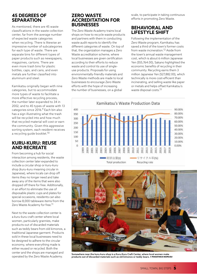## **45 DEGREES OF SEPARATION**

As mentioned, there are 45 waste classifications in the waste collection center, far from the average number of expected waste categories when recycling. There is likewise an impressive number of subcategories for each type of waste. There are separate bins for different types of paper products such as newspapers, magazines, cartons. There are even more trash bins for plastic bottles, caps, and cans, and even metals are further classified into aluminum and steel.

Kamikatsu originally began with nine categories, but to accommodate more types of waste to facilitate a more effective recycling process, the number later expanded to 34 in 2002, and to 45 types of waste with 13 categories since 2016.<sup>9</sup> Each bin also has a sign illustrating what the trash will be recycled into and how much that recycled material will cost or earn the community. Given this aggressive sorting system, each resident receives a recycling quide booklet.<sup>10</sup>

#### **KURU-KURU: REUSE AND RECREATE**

From becoming a hub for social interaction among residents, the waste collection center later expanded to include a circular shop or *kuru-kuru* shop (*kuru-kuru* meaning circular in Japanese), where locals can drop off items they no longer need and take away any of the items that were also dropped off there for free. Additionally, in an effort to eliminate the use of disposable plastic cups and plates for special occasions, residents can also borrow 8,000 tableware items from the Zero Waste Academy for free.11

Next to the waste collection center is a *kuru-kuru* craft center where local women, particularly grannies, make products out of discarded materials such as teddy bears from old kimonos, a traditional Japanese garment. Products sold in these local businesses need to be designed to adhere to the circular economy, where everything made is either reused or recycled. Both the center and the shops are managed and operated by the Zero Waste Academy.

#### **ZERO WASTE ACCREDITATION FOR BUSINESSES**

The Zero Waste Academy trains local shops on how to recycle waste products and partners with them in conducting waste audit reports to identify the different categories of waste. On top of that, the organization manages a Zero Waste accreditation scheme, where local businesses are given certification according to their efforts to reduce waste and control its use of singleuse products. Proposals for using environmentally-friendly materials and Zero Waste methods are made to local businesses to encourage Zero Waste efforts with the hope of increasing the number of businesses, on a global

scale, to participate in taking continuous efforts in promoting Zero Waste.

#### **BEHAVIORAL AND LIFESTYLE SHIFT**

Following the implementation of the Zero Waste program, Kamikatsu has saved a third of the town's former costs from waste incineration.<sup>12</sup> Aside from the town's annual waste management cost, which is about 6 million Japanese Yen (\$55,764.00), Sakano highlighted the economic benefits of recycling in their community. Recycling earns them 3 million Japanese Yen (\$27,882.00), which technically is more cost-efficient than incinerating, and selling waste like paper or metals and helps offset Kamikatsu's waste disposal costs.13





Somewhere near the kuru-kuru shop is a Kuru-Kuru Craft Center, where local women make products out of discarded materials such as old kimonos or teddy bears. © MASATAKA NAMAZU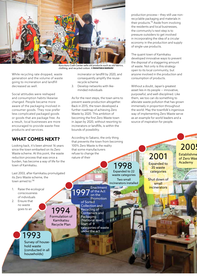

*Kuru-kuru* Craft Center sells old products such as old fabrics, clothing, and recycled cotton. © MASATAKA NAMAZU

While recycling rate dropped, waste generation and the volume of waste going to incineration and landfill decreased as well.

Social attitudes were reshaped and consumption habits likewise changed. People became more aware of the packaging involved in consumer goods. They now prefer less complicated packaged goods or goods that are package free. As a result, local businesses are more encouraged to provide waste-free products and services.

## **WHAT COMES NEXT?**

Looking back, it's been almost 16 years since the town embarked on its Zero Waste scheme. At this point, the waste reduction process that was once a burden, has become a way of life for the town of Kamikatsu.

Last 2003, after Kamikatsu promulgated its Zero Waste scheme, the town aimed to:14

- 1. Raise the ecological consciousness of individuals
- 2. Ensure that no waste goes to an

Formulation of Kamikatsu Recycle Plan 1994

1993

Survey of household waste (conducted in all households)

incinerator or landfill by 2020, and consequently amplify the reuserecycle scheme

3. Develop networks with likeminded individuals

As for the next steps, the town aims to prevent waste production altogether. Back in 2015, the town developed a further roadmap of achieving Zero Waste by 2020. This ambition of becoming the first Zero Waste town in Japan by 2020, without resorting to incinerators or landfills, is within the bounds of possibility.

According to Sakano, the only thing that prevents the town from becoming 100% Zero Waste is the reality that some manufacturers refuse to change the nature of their

production process— they still use nonrecyclable packaging and materials in their products.15 Aside from involving the residents and local businesses, the community's next step is to pressure outsiders to get involved in incorporating the idea of a circular economy in the production and supply of single-use products.

The quaint town of Kamikatsu developed innovative ways to prevent the disposal of a staggering amount of waste. Not only is this strategy open to its local community, but anyone involved in the production and consumption of products.

Without a doubt, Japan's greatest asset lies in its people — innovative, purposeful, and well-disciplined. Like them, we too can do something to alleviate waste pollution that has grown immensely in proportion throughout the world. May the townfolk's ingenious way of implementing Zero Waste serve as an example for world leaders and a source of inspiration for people.

> 2001 Expanded to 35 waste categories

2005

Establishme of Zero Was Academy

Shut down of small **incinerators** 

Enactment of the Act on the Promotion of Sorted Collection and Recycling of Containers and Packaging (National level), Start of 9 categories of waste under the act 1997

Expanded to 22 waste categories Two small incinerators installed

1998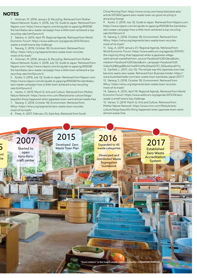#### **NOTES**

1. Hickman, M. (2018, January 3). Recycling. Retrieved from Mother Nature Network: Kyoko, S. (2018, July 13). Guide to Japan. Retrieved from Nippon.com: https://www.nippon.com/en/guide-to-japan/gu900038/ the-kamikatsu-zero-waste-campaign-how-a-little-town-achieved-a-toprecycling-rate.html?pnum=2

2. Sakano, A. (2015, April 19). Regional Agenda. Retrieved from World Economic Forum: https://www.weforum.org/agenda/2015/04/zerowaste-a-small-towns-big-challenge

3. Narang, S. (2018, October 18). Environment. Retrieved from Whyy: https://whyy.org/segments/zero-waste-town-recyclesmost-of-its-trash/

4. Hickman, M. (2018, January 3). Recycling. Retrieved from Mother Nature Network: Kyoko, S. (2018, July 13). Guide to Japan. Retrieved from Nippon.com: https://www.nippon.com/en/guide-to-japan/gu900038/ the-kamikatsu-zero-waste-campaign-how-a-little-town-achieved-a-toprecycling-rate.html?pnum=2

5. Kyoko, S. (2018, July 13). Guide to Japan. Retrieved from Nippon.com: https://www.nippon.com/en/guide-to-japan/gu900038/the-kamikatsuzero-waste-campaign-how-a-little-town-achieved-a-top-recyclingrate.html?pnum=2

6. Vartan, S. (2019, March 3). Arts and Culture. Retrieved from Mother Nature Network: https://www.mnn.com/lifestyle/arts-culture/blogs/ beautiful-thing-happened-when-japanese-town-went-almost-waste-free 7. Narang, S. (2018, October 18). Environment. Retrieved from

Whyy: https://whyy.org/segments/zero-waste-town-recyclesmost-of-its-trash/

8. Press, A. (2017, February 21). East Asia. Retrieved from South

China Morning Post: https://www.scmp.com/news/asia/east-asia/ article/2072602/japans-zero-waste-town-so-good-recycling-itattracting-foreign

9. Kyoko, S. (2018, July 13). Guide to Japan. Retrieved from Nippon.com: https://www.nippon.com/en/guide-to-japan/gu900038/the-kamikatsuzero-waste-campaign-how-a-little-town-achieved-a-top-recyclingrate.html?pnum=2

10. Narang, S. (2018, October 18). Environment. Retrieved from Whyy: https://whyy.org/segments/zero-waste-town-recyclesmost-of-its-trash/

11. Gray, A. (2019, January 21). Regional Agenda. Retrieved from World Economic Forum: https://www.weforum.org/agenda/2019/01/ the-inspiring-thing-that-happened-when-a-japanese-villagewent-almost-wastefree?utm\_source=Facebook%20Videos&utm\_ medium=Facebook%20Videos&utm\_campaign=Facebook%20 Video%20Blogs&fbclid=IwAR1mVNo2h6aAZr7O\_SXGwzhpnaPrYq 12. Garfield, L. (2017, July 10). The simple way this Japanese town has become nearly zero-waste. Retrieved from Business Insider: https:// www.businessinsider.com/zero-waste-town-kamikatsu-japan-2017-7 13. Narang, S. (2018, October 18). Environment. Retrieved from Whyy: https://whyy.org/segments/zero-waste-town-recyclesmost-of-its-trash/

14. Sakano, A. (2015, April 19). Regional Agenda. Retrieved from World Economic Forum: https://www.weforum.org/agenda/2015/04/zerowaste-a-small-towns-big-challenge

15. Vartan, S. (2019, March 3). Arts and Culture. Retrieved from Mother Nature Network: https://www.mnn.com/lifestyle/artsculture/blogs/beautiful-thing-happened-when-japanese-town-wentalmost-waste-free